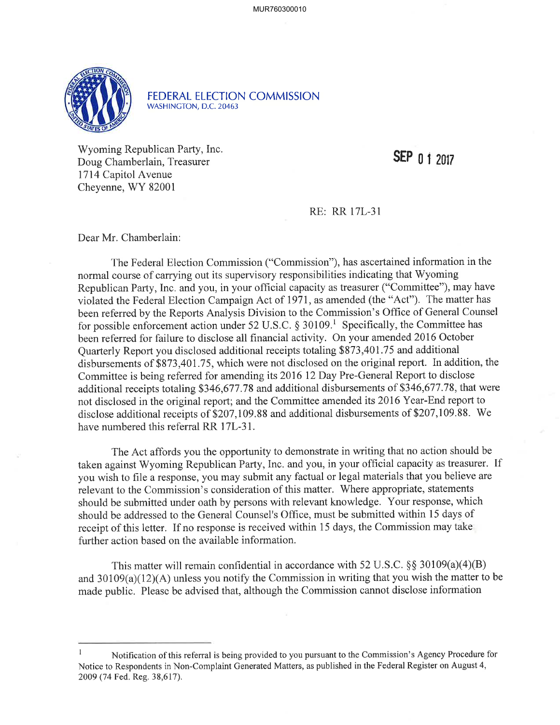

FEDERAL ELECTION COMMISSION WASHINGTON, D.C. 20463

V/yoming Republican Party, Inc. Doug Chamberlain, Treasurer 1714 Capifol Avenue Cheyenne, WY 82001

SEP 0 1 2017

RE: RR l7L-31

Dear Mr. Chamberlain:

The Federal Election Commission ("Commission"), has ascertained information in the normal course of carrying out its supervisory responsibilities indicating that Wyoming Republican Party, Inc. and you, in your official capacity as treasurer ("Committee"), may have violated the Federal Election Campaign Act of I971, as amended (the "Act"). The matter has been referred by the Reports Analysis Division to the Commission's Office of General Counsel for possible enforcement action under 52 U.S.C.  $\S 30109$ <sup>1</sup>. Specifically, the Committee has been referred for failure to disclose all financial activity. On your amended 2016 October Quarterly Report you disclosed additional receipts totaling \$873,401 .75 and additional disbursements of \$873,401.75, which were not disclosed on the original report. In addition, the Committee is being referred for amending its 2016 12 Day Pre-General Report to disclose additional receipts totaling \$346,677.78 and additional disbursements of \$346,677.78, that were not disclosed in the original report; and the Committee amended its 2016 Year-End report to disclose additional receipts of \$207,109.88 and additional disbursements of \$207,109.88. We have numbered this referral RR 17L-31.

The Act affords you the opportunity to demonstrate in writing that no action should be taken against Wyoming Republican Party, Inc. and you, in your official capacity as treasurer. If you wish to file a response, you may submit any factual or legal materials that you believe are relevant to the Commission's consideration of this matter. Where appropriate, statements should be submitted under oath by persons with relevant knowledge. Your response, which should be addressed to the General Counsel's Office, must be submitted within 15 days of receipt of this letter. If no response is received within 15 days, the Commission may take further action based on the available information.

This matter will remain confidential in accordance with 52 U.S.C.  $\S$ § 30109(a)(4)(B) and  $30109(a)(12)(A)$  unless you notify the Commission in writing that you wish the matter to be made public. Please be advised that, although the Commission cannot disclose information

Notification of this referral is being provided to you pursuant to the Commission's Agency Procedure for Notice to Respondents in Non-Complaint Generated Matters, as published in the Federal Register on August 4, 2009 (74 Fed. Reg. 38,617).